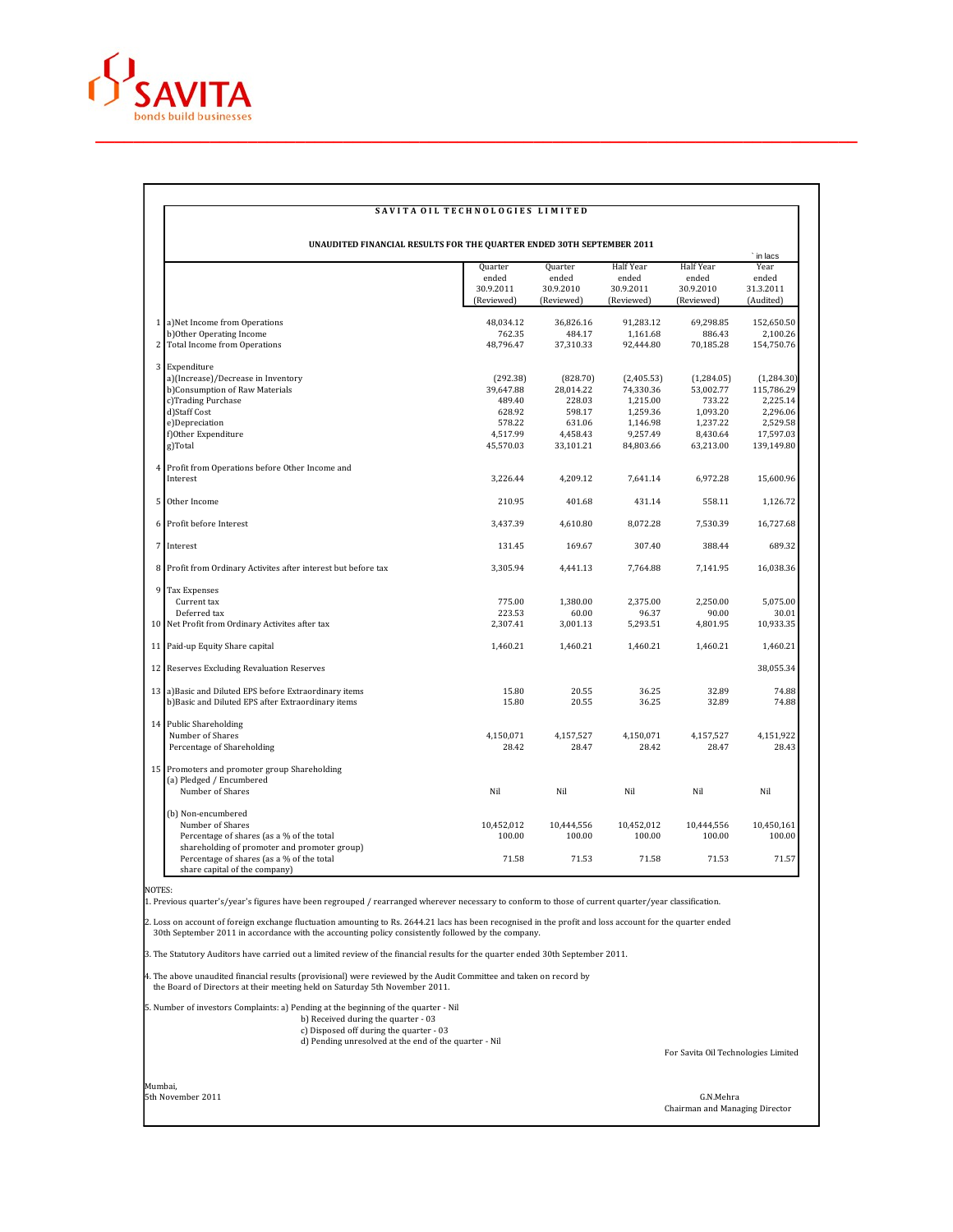

## SAVITA OIL TECHNOLOGIES LIMITED

**UNAUDITED FINANCIAL RESULTS FOR THE QUARTER ENDED 30TH SEPTEMBER 2011**

|                                                                            |                                             |                                             |                                               |                                               | ` in lacs                               |
|----------------------------------------------------------------------------|---------------------------------------------|---------------------------------------------|-----------------------------------------------|-----------------------------------------------|-----------------------------------------|
|                                                                            | Quarter<br>ended<br>30.9.2011<br>(Reviewed) | Quarter<br>ended<br>30.9.2010<br>(Reviewed) | Half Year<br>ended<br>30.9.2011<br>(Reviewed) | Half Year<br>ended<br>30.9.2010<br>(Reviewed) | Year<br>ended<br>31.3.2011<br>(Audited) |
|                                                                            |                                             |                                             |                                               |                                               |                                         |
| 1 a)Net Income from Operations                                             | 48,034.12                                   | 36,826.16                                   | 91,283.12                                     | 69,298.85                                     | 152,650.50                              |
| b)Other Operating Income                                                   | 762.35                                      | 484.17                                      | 1,161.68                                      | 886.43                                        | 2,100.26                                |
| 2 Total Income from Operations                                             | 48,796.47                                   | 37,310.33                                   | 92,444.80                                     | 70,185.28                                     | 154,750.76                              |
| 3 Expenditure                                                              |                                             |                                             |                                               |                                               |                                         |
| a)(Increase)/Decrease in Inventory                                         | (292.38)                                    | (828.70)                                    | (2,405.53)                                    | (1,284.05)                                    | (1,284.30)                              |
| b)Consumption of Raw Materials                                             | 39,647.88                                   | 28,014.22                                   | 74,330.36                                     | 53,002.77                                     | 115,786.29                              |
| c)Trading Purchase                                                         | 489.40                                      | 228.03                                      | 1,215.00                                      | 733.22                                        | 2,225.14                                |
| d)Staff Cost                                                               | 628.92                                      | 598.17                                      | 1,259.36                                      | 1,093.20                                      | 2,296.06                                |
| e)Depreciation                                                             | 578.22                                      | 631.06                                      | 1,146.98                                      | 1.237.22                                      | 2,529.58                                |
| f)Other Expenditure                                                        | 4,517.99                                    | 4,458.43                                    | 9,257.49                                      | 8,430.64                                      | 17,597.03                               |
| g)Total                                                                    | 45,570.03                                   | 33,101.21                                   | 84,803.66                                     | 63,213.00                                     | 139,149.80                              |
| 4 Profit from Operations before Other Income and                           |                                             |                                             |                                               |                                               |                                         |
| Interest                                                                   | 3,226.44                                    | 4,209.12                                    | 7,641.14                                      | 6,972.28                                      | 15,600.96                               |
| 5 Other Income                                                             | 210.95                                      | 401.68                                      | 431.14                                        | 558.11                                        | 1,126.72                                |
| 6 Profit before Interest                                                   | 3,437.39                                    | 4,610.80                                    | 8,072.28                                      | 7,530.39                                      | 16,727.68                               |
| 7 Interest                                                                 | 131.45                                      | 169.67                                      | 307.40                                        | 388.44                                        | 689.32                                  |
| 8 Profit from Ordinary Activites after interest but before tax             | 3,305.94                                    | 4,441.13                                    | 7,764.88                                      | 7,141.95                                      | 16,038.36                               |
| 9 Tax Expenses                                                             |                                             |                                             |                                               |                                               |                                         |
| Current tax                                                                | 775.00                                      | 1,380.00                                    | 2.375.00                                      | 2.250.00                                      | 5,075.00                                |
| Deferred tax                                                               | 223.53                                      | 60.00                                       | 96.37                                         | 90.00                                         | 30.01                                   |
| 10 Net Profit from Ordinary Activites after tax                            | 2,307.41                                    | 3,001.13                                    | 5,293.51                                      | 4,801.95                                      | 10,933.35                               |
| 11 Paid-up Equity Share capital                                            | 1,460.21                                    | 1,460.21                                    | 1,460.21                                      | 1,460.21                                      | 1,460.21                                |
| 12 Reserves Excluding Revaluation Reserves                                 |                                             |                                             |                                               |                                               | 38,055.34                               |
| 13 a) Basic and Diluted EPS before Extraordinary items                     | 15.80                                       | 20.55                                       | 36.25                                         | 32.89                                         | 74.88                                   |
| b)Basic and Diluted EPS after Extraordinary items                          | 15.80                                       | 20.55                                       | 36.25                                         | 32.89                                         | 74.88                                   |
| 14 Public Shareholding                                                     |                                             |                                             |                                               |                                               |                                         |
| Number of Shares                                                           | 4,150,071                                   | 4,157,527                                   | 4,150,071                                     | 4,157,527                                     | 4,151,922                               |
| Percentage of Shareholding                                                 | 28.42                                       | 28.47                                       | 28.42                                         | 28.47                                         | 28.43                                   |
| 15 Promoters and promoter group Shareholding                               |                                             |                                             |                                               |                                               |                                         |
| (a) Pledged / Encumbered                                                   |                                             |                                             |                                               |                                               |                                         |
| Number of Shares                                                           | Nil                                         | Nil                                         | Nil                                           | Nil                                           | Nil                                     |
| (b) Non-encumbered                                                         |                                             |                                             |                                               |                                               |                                         |
| Number of Shares                                                           | 10,452,012                                  | 10,444,556                                  | 10,452,012                                    | 10,444,556                                    | 10,450,161                              |
| Percentage of shares (as a % of the total                                  | 100.00                                      | 100.00                                      | 100.00                                        | 100.00                                        | 100.00                                  |
| shareholding of promoter and promoter group)                               |                                             |                                             |                                               |                                               |                                         |
| Percentage of shares (as a % of the total<br>share capital of the company) | 71.58                                       | 71.53                                       | 71.58                                         | 71.53                                         | 71.57                                   |

NOTES:

1. Previous quarter's/year's figures have been regrouped / rearranged wherever necessary to conform to those of current quarter/year classification.

2. Loss on account of foreign exchange fluctuation amounting to Rs. 2644.21 lacs has been recognised in the profit and loss account for the quarter ended<br>30th September 2011 in accordance with the accounting policy consist

3. The Statutory Auditors have carried out a limited review of the financial results for the quarter ended 30th September 2011.

4. The above unaudited financial results (provisional) were reviewed by the Audit Committee and taken on record by the Board of Directors at their meeting held on Saturday 5th November 2011.

5. Number of investors Complaints: a) Pending at the beginning of the quarter - Nil b) Received during the quarter - 03 c) Disposed off during the quarter - 03 d) Pending unresolved at the end of the quarter - Nil

For Savita Oil Technologies Limited

Mumbai, 5th November 2011 G.N.Mehra

Chairman and Managing Director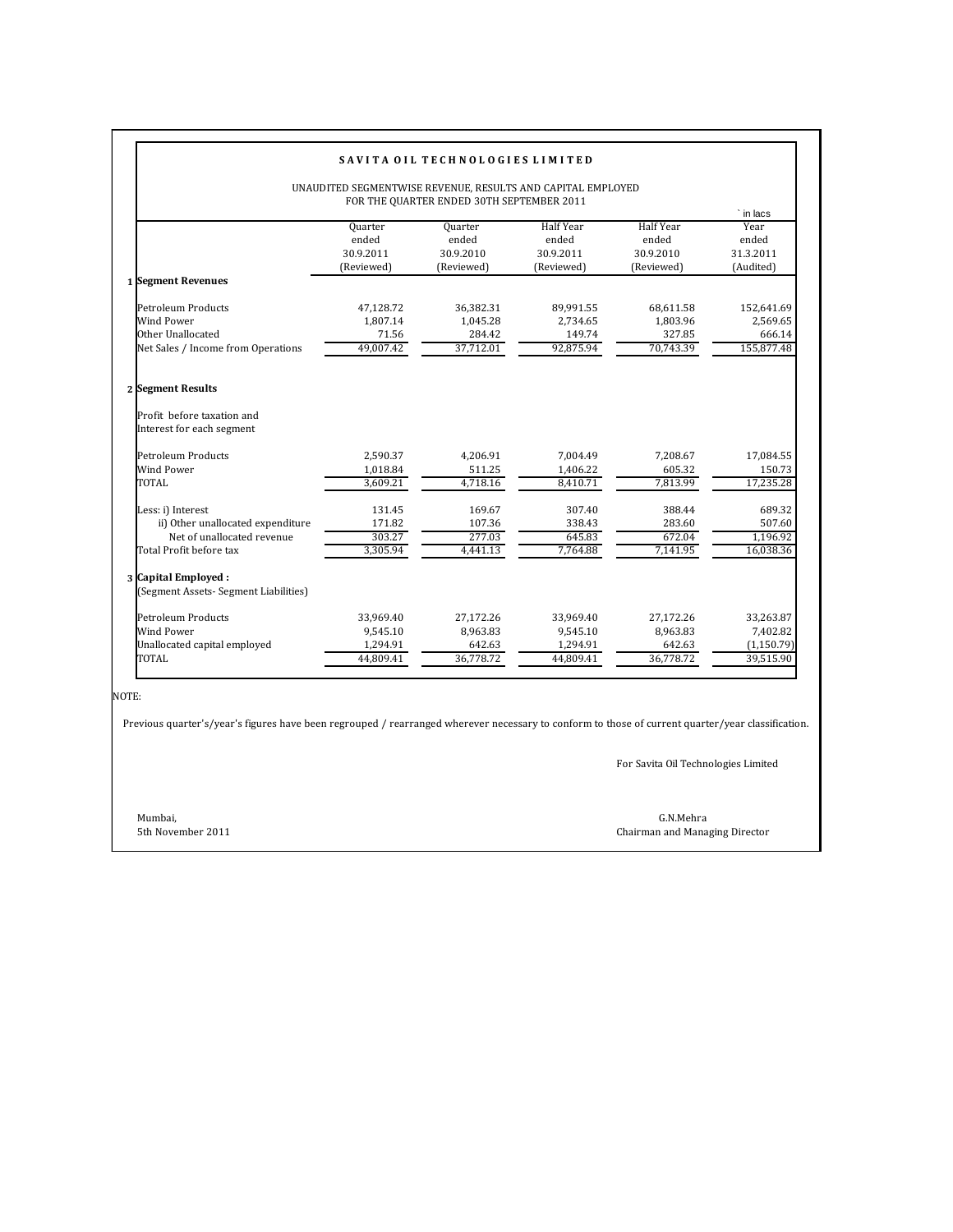| SAVITA OIL TECHNOLOGIES LIMITED                                                                                 |                                             |                                              |                                                      |                                                      |                                                      |  |  |  |  |  |
|-----------------------------------------------------------------------------------------------------------------|---------------------------------------------|----------------------------------------------|------------------------------------------------------|------------------------------------------------------|------------------------------------------------------|--|--|--|--|--|
| UNAUDITED SEGMENTWISE REVENUE, RESULTS AND CAPITAL EMPLOYED<br>FOR THE QUARTER ENDED 30TH SEPTEMBER 2011        |                                             |                                              |                                                      |                                                      |                                                      |  |  |  |  |  |
|                                                                                                                 | Quarter<br>ended<br>30.9.2011<br>(Reviewed) | Quarter<br>ended<br>30.9.2010<br>(Reviewed)  | <b>Half Year</b><br>ended<br>30.9.2011<br>(Reviewed) | <b>Half Year</b><br>ended<br>30.9.2010<br>(Reviewed) | ` in lacs<br>Year<br>ended<br>31.3.2011<br>(Audited) |  |  |  |  |  |
| 1 Segment Revenues                                                                                              |                                             |                                              |                                                      |                                                      |                                                      |  |  |  |  |  |
| Petroleum Products<br>Wind Power<br>Other Unallocated<br>Net Sales / Income from Operations                     | 47,128.72<br>1.807.14<br>71.56<br>49,007.42 | 36,382.31<br>1.045.28<br>284.42<br>37,712.01 | 89,991.55<br>2.734.65<br>149.74<br>92,875.94         | 68,611.58<br>1.803.96<br>327.85<br>70,743.39         | 152,641.69<br>2,569.65<br>666.14<br>155,877.48       |  |  |  |  |  |
| 2 Segment Results<br>Profit before taxation and<br>Interest for each segment                                    |                                             |                                              |                                                      |                                                      |                                                      |  |  |  |  |  |
| Petroleum Products<br>Wind Power                                                                                | 2,590.37<br>1,018.84                        | 4,206.91<br>511.25                           | 7,004.49<br>1,406.22                                 | 7,208.67<br>605.32                                   | 17,084.55<br>150.73                                  |  |  |  |  |  |
| <b>TOTAL</b>                                                                                                    | 3,609.21                                    | 4.718.16                                     | 8.410.71                                             | 7,813.99                                             | 17,235.28                                            |  |  |  |  |  |
| Less: i) Interest<br>ii) Other unallocated expenditure<br>Net of unallocated revenue<br>Total Profit before tax | 131.45<br>171.82<br>303.27<br>3,305.94      | 169.67<br>107.36<br>277.03<br>4,441.13       | 307.40<br>338.43<br>645.83<br>7,764.88               | 388.44<br>283.60<br>672.04<br>7,141.95               | 689.32<br>507.60<br>1,196.92<br>16,038.36            |  |  |  |  |  |
| 3 Capital Employed :<br>(Segment Assets- Segment Liabilities)                                                   |                                             |                                              |                                                      |                                                      |                                                      |  |  |  |  |  |
| Petroleum Products<br>Wind Power<br>Unallocated capital employed                                                | 33,969.40<br>9,545.10<br>1,294.91           | 27,172.26<br>8.963.83<br>642.63              | 33,969.40<br>9,545.10<br>1,294.91                    | 27,172.26<br>8.963.83<br>642.63                      | 33,263.87<br>7,402.82<br>(1, 150.79)                 |  |  |  |  |  |
| TOTAL                                                                                                           | 44,809.41                                   | 36,778.72                                    | 44,809.41                                            | 36,778.72                                            | 39,515.90                                            |  |  |  |  |  |

NOTE:

Previous quarter's/year's figures have been regrouped / rearranged wherever necessary to conform to those of current quarter/year classification.

For Savita Oil Technologies Limited

Mumbai, G.N.Mehra 5th November 2011 Chairman and Managing Director